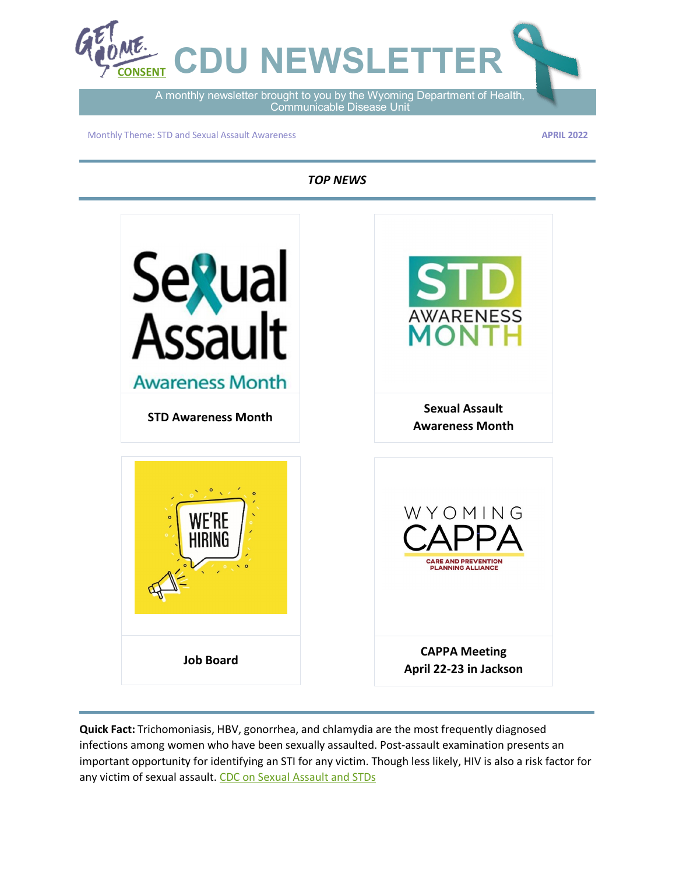

Communicable Disease Unit

Monthly Theme: STD and Sexual Assault Awareness

**APRIL 2022**

*TOP NEWS*



**Quick Fact:** Trichomoniasis, HBV, gonorrhea, and chlamydia are the most frequently diagnosed infections among women who have been sexually assaulted. Post-assault examination presents an important opportunity for identifying an STI for any victim. Though less likely, HIV is also a risk factor for any victim of sexual assault. [CDC on Sexual Assault](https://www.cdc.gov/std/treatment-guidelines/sexual-assault-adults.htm) and STDs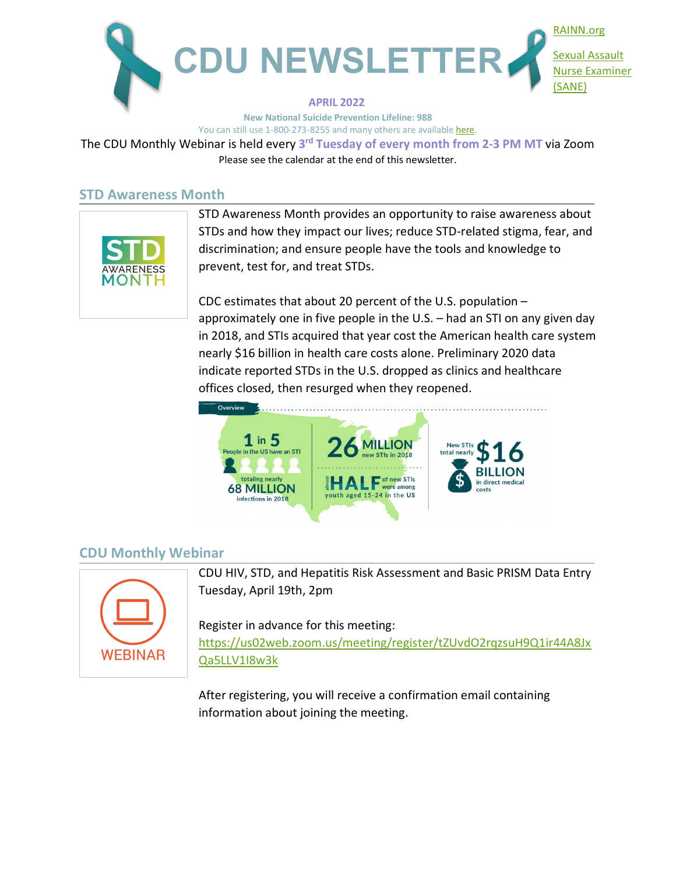

**New National Suicide Prevention Lifeline: 988** You can still use 1-800-273-8255 and many others are availabl[e here.](https://www.apa.org/topics/crisis-hotlines)

The CDU Monthly Webinar is held every **3rd Tuesday of every month from 2-3 PM MT** via Zoom Please see the calendar at the end of this newsletter.

## **STD Awareness Month**



STD Awareness Month provides an opportunity to raise awareness about STDs and how they impact our lives; reduce STD-related stigma, fear, and discrimination; and ensure people have the tools and knowledge to prevent, test for, and treat STDs.

CDC estimates that about 20 percent of the U.S. population – approximately one in five people in the U.S. – had an STI on any given day in 2018, and STIs acquired that year cost the American health care system nearly \$16 billion in health care costs alone. Preliminary 2020 data indicate reported STDs in the U.S. dropped as clinics and healthcare offices closed, then resurged when they reopened.



# **CDU Monthly Webinar**



CDU HIV, STD, and Hepatitis Risk Assessment and Basic PRISM Data Entry Tuesday, April 19th, 2pm

Register in advance for this meeting: [https://us02web.zoom.us/meeting/register/tZUvdO2rqzsuH9Q1ir44A8Jx](https://us02web.zoom.us/meeting/register/tZUvdO2rqzsuH9Q1ir44A8JxQa5LLV1I8w3k) [Qa5LLV1I8w3k](https://us02web.zoom.us/meeting/register/tZUvdO2rqzsuH9Q1ir44A8JxQa5LLV1I8w3k)

After registering, you will receive a confirmation email containing information about joining the meeting.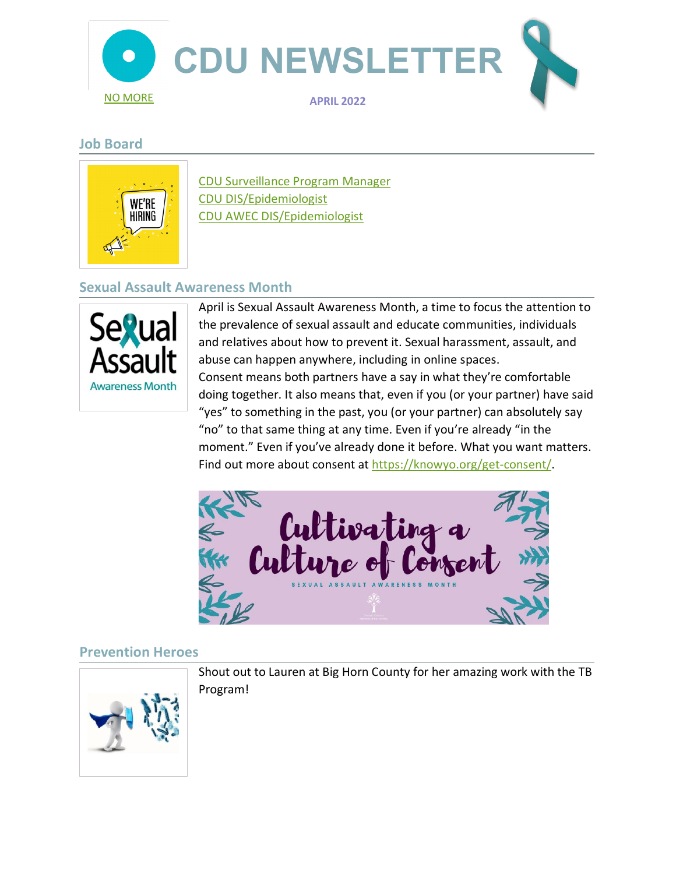

# **Job Board**



[CDU Surveillance Program Manager](https://www.governmentjobs.com/careers/wyoming/jobs/3230238/hsep10-2021-01610-communicable-disease-surveillance-cheyenne?keywords=Communicable%20Disease%20Unit&pagetype=jobOpportunitiesJobs) [CDU DIS/Epidemiologist](https://www.governmentjobs.com/careers/wyoming/jobs/3204885/hsep09-2021-01409-communicable-disease-epidemiologist-cheyenne?keywords=Communicable%20Disease%20Unit&pagetype=jobOpportunitiesJobs) [CDU AWEC DIS/Epidemiologist](https://www.governmentjobs.com/careers/wyoming/jobs/3409516/ataw99-2022-02731-epidemiologist-disease-intervention-specialist-cheyenne?keywords=Communicable%20Disease%20Unit&pagetype=jobOpportunitiesJobs)

# **Sexual Assault Awareness Month**



April is Sexual Assault Awareness Month, a time to focus the attention to the prevalence of sexual assault and educate communities, individuals and relatives about how to prevent it. Sexual harassment, assault, and abuse can happen anywhere, including in online spaces. Consent means both partners have a say in what they're comfortable doing together. It also means that, even if you (or your partner) have said "yes" to something in the past, you (or your partner) can absolutely say "no" to that same thing at any time. Even if you're already "in the moment." Even if you've already done it before. What you want matters. Find out more about consent at [https://knowyo.org/get-consent/.](https://knowyo.org/get-consent/)



# **Prevention Heroes**



Shout out to Lauren at Big Horn County for her amazing work with the TB Program!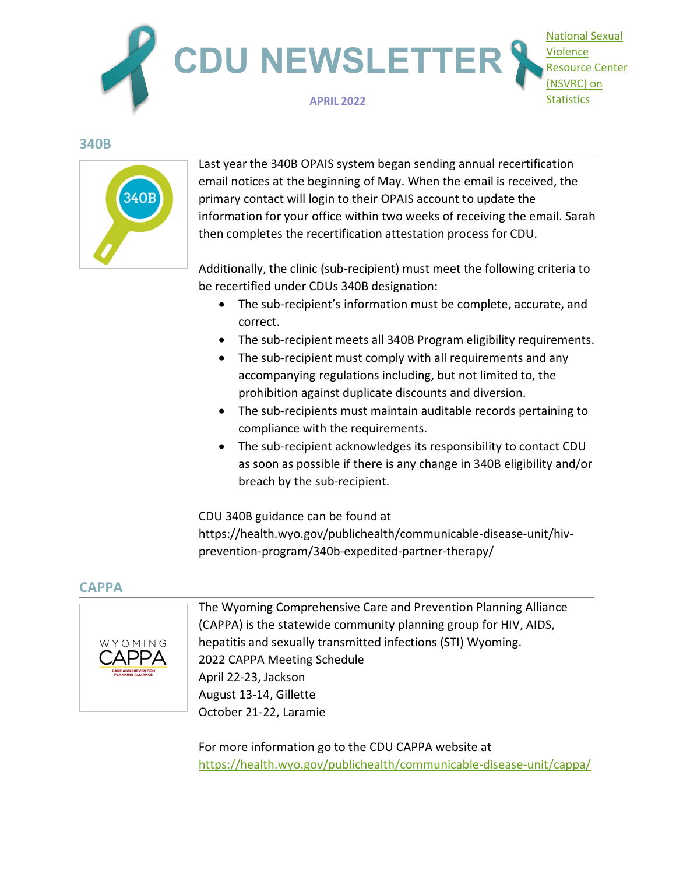

#### **340B**



Last year the 340B OPAIS system began sending annual recertification email notices at the beginning of May. When the email is received, the primary contact will login to their OPAIS account to update the information for your office within two weeks of receiving the email. Sarah then completes the recertification attestation process for CDU.

Additionally, the clinic (sub-recipient) must meet the following criteria to be recertified under CDUs 340B designation:

- The sub-recipient's information must be complete, accurate, and correct.
- The sub-recipient meets all 340B Program eligibility requirements.
- The sub-recipient must comply with all requirements and any accompanying regulations including, but not limited to, the prohibition against duplicate discounts and diversion.
- The sub-recipients must maintain auditable records pertaining to compliance with the requirements.
- The sub-recipient acknowledges its responsibility to contact CDU as soon as possible if there is any change in 340B eligibility and/or breach by the sub-recipient.

CDU 340B guidance can be found at https://health.wyo.gov/publichealth/communicable-disease-unit/hivprevention-program/340b-expedited-partner-therapy/

#### **CAPPA**



The Wyoming Comprehensive Care and Prevention Planning Alliance (CAPPA) is the statewide community planning group for HIV, AIDS, hepatitis and sexually transmitted infections (STI) Wyoming. 2022 CAPPA Meeting Schedule April 22-23, Jackson August 13-14, Gillette October 21-22, Laramie

For more information go to the CDU CAPPA website at <https://health.wyo.gov/publichealth/communicable-disease-unit/cappa/>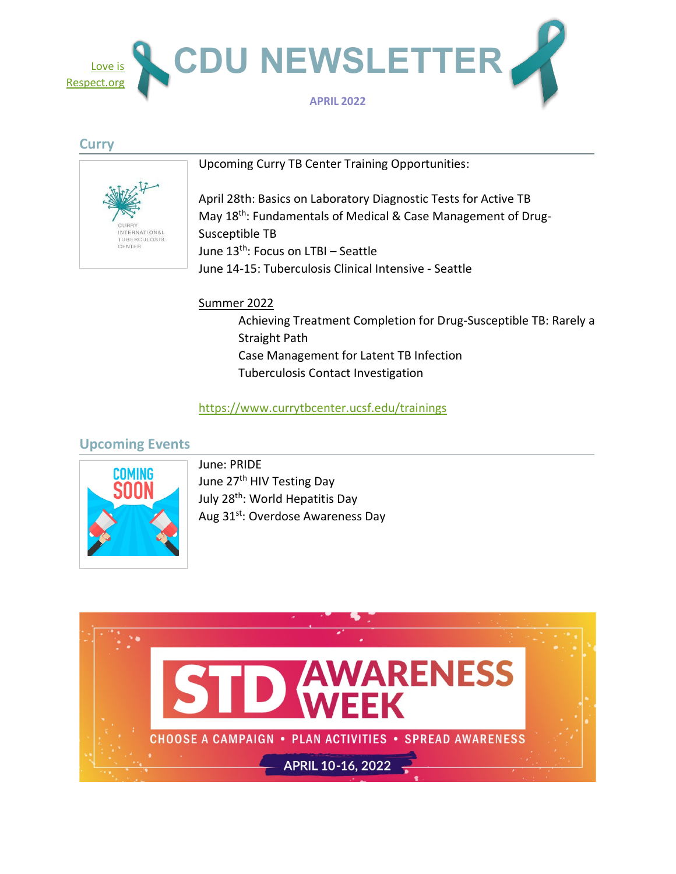

#### **Curry**



Upcoming Curry TB Center Training Opportunities:

April 28th: Basics on Laboratory Diagnostic Tests for Active TB May 18<sup>th</sup>: Fundamentals of Medical & Case Management of Drug-Susceptible TB June 13th: Focus on LTBI – Seattle June 14-15: Tuberculosis Clinical Intensive - Seattle

#### Summer 2022

Achieving Treatment Completion for Drug-Susceptible TB: Rarely a Straight Path Case Management for Latent TB Infection Tuberculosis Contact Investigation

### <https://www.currytbcenter.ucsf.edu/trainings>

# **Upcoming Events**



June: PRIDE June 27<sup>th</sup> HIV Testing Day July 28<sup>th</sup>: World Hepatitis Day Aug 31<sup>st</sup>: Overdose Awareness Day